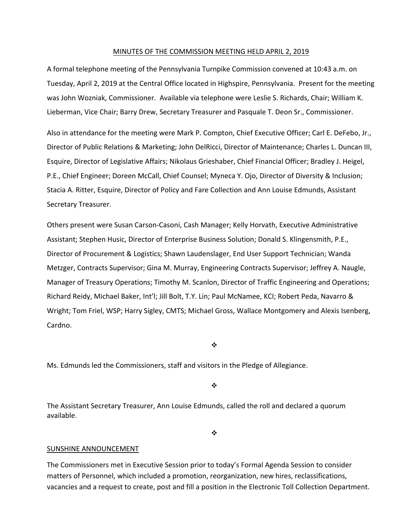#### MINUTES OF THE COMMISSION MEETING HELD APRIL 2, 2019

A formal telephone meeting of the Pennsylvania Turnpike Commission convened at 10:43 a.m. on Tuesday, April 2, 2019 at the Central Office located in Highspire, Pennsylvania. Present for the meeting was John Wozniak, Commissioner. Available via telephone were Leslie S. Richards, Chair; William K. Lieberman, Vice Chair; Barry Drew, Secretary Treasurer and Pasquale T. Deon Sr., Commissioner.

Also in attendance for the meeting were Mark P. Compton, Chief Executive Officer; Carl E. DeFebo, Jr., Director of Public Relations & Marketing; John DelRicci, Director of Maintenance; Charles L. Duncan III, Esquire, Director of Legislative Affairs; Nikolaus Grieshaber, Chief Financial Officer; Bradley J. Heigel, P.E., Chief Engineer; Doreen McCall, Chief Counsel; Myneca Y. Ojo, Director of Diversity & Inclusion; Stacia A. Ritter, Esquire, Director of Policy and Fare Collection and Ann Louise Edmunds, Assistant Secretary Treasurer.

Others present were Susan Carson‐Casoni, Cash Manager; Kelly Horvath, Executive Administrative Assistant; Stephen Husic, Director of Enterprise Business Solution; Donald S. Klingensmith, P.E., Director of Procurement & Logistics; Shawn Laudenslager, End User Support Technician; Wanda Metzger, Contracts Supervisor; Gina M. Murray, Engineering Contracts Supervisor; Jeffrey A. Naugle, Manager of Treasury Operations; Timothy M. Scanlon, Director of Traffic Engineering and Operations; Richard Reidy, Michael Baker, Int'l; Jill Bolt, T.Y. Lin; Paul McNamee, KCI; Robert Peda, Navarro & Wright; Tom Friel, WSP; Harry Sigley, CMTS; Michael Gross, Wallace Montgomery and Alexis Isenberg, Cardno.

❖

Ms. Edmunds led the Commissioners, staff and visitors in the Pledge of Allegiance.

÷

The Assistant Secretary Treasurer, Ann Louise Edmunds, called the roll and declared a quorum available.

 $\frac{1}{2}$ 

#### SUNSHINE ANNOUNCEMENT

The Commissioners met in Executive Session prior to today's Formal Agenda Session to consider matters of Personnel, which included a promotion, reorganization, new hires, reclassifications, vacancies and a request to create, post and fill a position in the Electronic Toll Collection Department.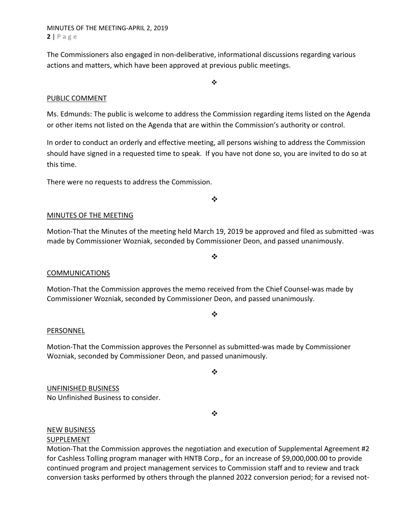MINUTES OF THE MEETING‐APRIL 2, 2019 **2** | Page

The Commissioners also engaged in non‐deliberative, informational discussions regarding various actions and matters, which have been approved at previous public meetings.

### PUBLIC COMMENT

Ms. Edmunds: The public is welcome to address the Commission regarding items listed on the Agenda or other items not listed on the Agenda that are within the Commission's authority or control.

 $\frac{1}{2}$ 

In order to conduct an orderly and effective meeting, all persons wishing to address the Commission should have signed in a requested time to speak. If you have not done so, you are invited to do so at this time.

There were no requests to address the Commission.

 $\bullet^{\bullet}_{\bullet} \bullet$ 

### MINUTES OF THE MEETING

Motion‐That the Minutes of the meeting held March 19, 2019 be approved and filed as submitted ‐was made by Commissioner Wozniak, seconded by Commissioner Deon, and passed unanimously.

 $\bullet^{\bullet}_{\bullet} \bullet$ 

 $\frac{1}{2}$ 

### COMMUNICATIONS

Motion‐That the Commission approves the memo received from the Chief Counsel‐was made by Commissioner Wozniak, seconded by Commissioner Deon, and passed unanimously.

### PERSONNEL

Motion‐That the Commission approves the Personnel as submitted‐was made by Commissioner Wozniak, seconded by Commissioner Deon, and passed unanimously.

 $\cdot$ 

UNFINISHED BUSINESS No Unfinished Business to consider.

❖

## NEW BUSINESS

### **SUPPLEMENT**

Motion-That the Commission approves the negotiation and execution of Supplemental Agreement #2 for Cashless Tolling program manager with HNTB Corp., for an increase of \$9,000,000.00 to provide continued program and project management services to Commission staff and to review and track conversion tasks performed by others through the planned 2022 conversion period; for a revised not‐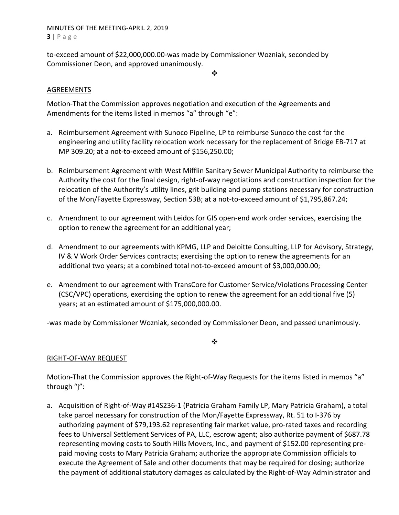# MINUTES OF THE MEETING‐APRIL 2, 2019 **3** | Page

to‐exceed amount of \$22,000,000.00‐was made by Commissioner Wozniak, seconded by Commissioner Deon, and approved unanimously.

 $\mathbf{A}$ 

# AGREEMENTS

Motion‐That the Commission approves negotiation and execution of the Agreements and Amendments for the items listed in memos "a" through "e":

- a. Reimbursement Agreement with Sunoco Pipeline, LP to reimburse Sunoco the cost for the engineering and utility facility relocation work necessary for the replacement of Bridge EB‐717 at MP 309.20; at a not‐to‐exceed amount of \$156,250.00;
- b. Reimbursement Agreement with West Mifflin Sanitary Sewer Municipal Authority to reimburse the Authority the cost for the final design, right‐of‐way negotiations and construction inspection for the relocation of the Authority's utility lines, grit building and pump stations necessary for construction of the Mon/Fayette Expressway, Section 53B; at a not‐to‐exceed amount of \$1,795,867.24;
- c. Amendment to our agreement with Leidos for GIS open‐end work order services, exercising the option to renew the agreement for an additional year;
- d. Amendment to our agreements with KPMG, LLP and Deloitte Consulting, LLP for Advisory, Strategy, IV & V Work Order Services contracts; exercising the option to renew the agreements for an additional two years; at a combined total not‐to‐exceed amount of \$3,000,000.00;
- e. Amendment to our agreement with TransCore for Customer Service/Violations Processing Center (CSC/VPC) operations, exercising the option to renew the agreement for an additional five (5) years; at an estimated amount of \$175,000,000.00.

‐was made by Commissioner Wozniak, seconded by Commissioner Deon, and passed unanimously.

❖

## RIGHT‐OF‐WAY REQUEST

Motion-That the Commission approves the Right-of-Way Requests for the items listed in memos "a" through "j":

a. Acquisition of Right‐of‐Way #14S236‐1 (Patricia Graham Family LP, Mary Patricia Graham), a total take parcel necessary for construction of the Mon/Fayette Expressway, Rt. 51 to I‐376 by authorizing payment of \$79,193.62 representing fair market value, pro‐rated taxes and recording fees to Universal Settlement Services of PA, LLC, escrow agent; also authorize payment of \$687.78 representing moving costs to South Hills Movers, Inc., and payment of \$152.00 representing pre‐ paid moving costs to Mary Patricia Graham; authorize the appropriate Commission officials to execute the Agreement of Sale and other documents that may be required for closing; authorize the payment of additional statutory damages as calculated by the Right‐of‐Way Administrator and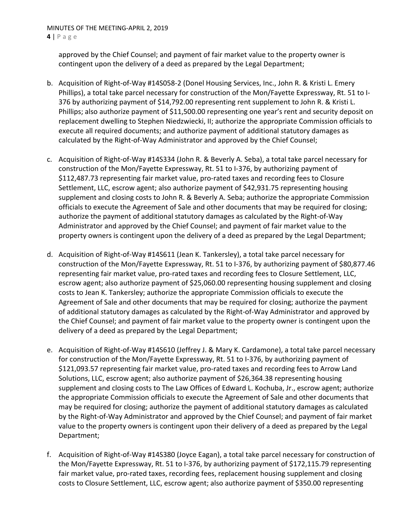approved by the Chief Counsel; and payment of fair market value to the property owner is contingent upon the delivery of a deed as prepared by the Legal Department;

- b. Acquisition of Right‐of‐Way #14S058‐2 (Donel Housing Services, Inc., John R. & Kristi L. Emery Phillips), a total take parcel necessary for construction of the Mon/Fayette Expressway, Rt. 51 to I‐ 376 by authorizing payment of \$14,792.00 representing rent supplement to John R. & Kristi L. Phillips; also authorize payment of \$11,500.00 representing one year's rent and security deposit on replacement dwelling to Stephen Niedzwiecki, II; authorize the appropriate Commission officials to execute all required documents; and authorize payment of additional statutory damages as calculated by the Right‐of‐Way Administrator and approved by the Chief Counsel;
- c. Acquisition of Right‐of‐Way #14S334 (John R. & Beverly A. Seba), a total take parcel necessary for construction of the Mon/Fayette Expressway, Rt. 51 to I‐376, by authorizing payment of \$112,487.73 representing fair market value, pro‐rated taxes and recording fees to Closure Settlement, LLC, escrow agent; also authorize payment of \$42,931.75 representing housing supplement and closing costs to John R. & Beverly A. Seba; authorize the appropriate Commission officials to execute the Agreement of Sale and other documents that may be required for closing; authorize the payment of additional statutory damages as calculated by the Right‐of‐Way Administrator and approved by the Chief Counsel; and payment of fair market value to the property owners is contingent upon the delivery of a deed as prepared by the Legal Department;
- d. Acquisition of Right‐of‐Way #14S611 (Jean K. Tankersley), a total take parcel necessary for construction of the Mon/Fayette Expressway, Rt. 51 to I‐376, by authorizing payment of \$80,877.46 representing fair market value, pro‐rated taxes and recording fees to Closure Settlement, LLC, escrow agent; also authorize payment of \$25,060.00 representing housing supplement and closing costs to Jean K. Tankersley; authorize the appropriate Commission officials to execute the Agreement of Sale and other documents that may be required for closing; authorize the payment of additional statutory damages as calculated by the Right‐of‐Way Administrator and approved by the Chief Counsel; and payment of fair market value to the property owner is contingent upon the delivery of a deed as prepared by the Legal Department;
- e. Acquisition of Right‐of‐Way #14S610 (Jeffrey J. & Mary K. Cardamone), a total take parcel necessary for construction of the Mon/Fayette Expressway, Rt. 51 to I‐376, by authorizing payment of \$121,093.57 representing fair market value, pro‐rated taxes and recording fees to Arrow Land Solutions, LLC, escrow agent; also authorize payment of \$26,364.38 representing housing supplement and closing costs to The Law Offices of Edward L. Kochuba, Jr., escrow agent; authorize the appropriate Commission officials to execute the Agreement of Sale and other documents that may be required for closing; authorize the payment of additional statutory damages as calculated by the Right‐of‐Way Administrator and approved by the Chief Counsel; and payment of fair market value to the property owners is contingent upon their delivery of a deed as prepared by the Legal Department;
- f. Acquisition of Right‐of‐Way #14S380 (Joyce Eagan), a total take parcel necessary for construction of the Mon/Fayette Expressway, Rt. 51 to I‐376, by authorizing payment of \$172,115.79 representing fair market value, pro-rated taxes, recording fees, replacement housing supplement and closing costs to Closure Settlement, LLC, escrow agent; also authorize payment of \$350.00 representing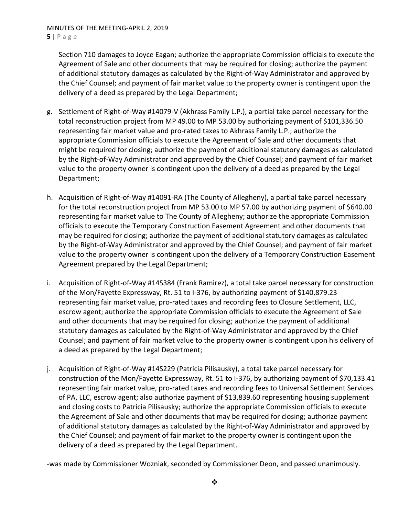Section 710 damages to Joyce Eagan; authorize the appropriate Commission officials to execute the Agreement of Sale and other documents that may be required for closing; authorize the payment of additional statutory damages as calculated by the Right‐of‐Way Administrator and approved by the Chief Counsel; and payment of fair market value to the property owner is contingent upon the delivery of a deed as prepared by the Legal Department;

- g. Settlement of Right‐of‐Way #14079‐V (Akhrass Family L.P.), a partial take parcel necessary for the total reconstruction project from MP 49.00 to MP 53.00 by authorizing payment of \$101,336.50 representing fair market value and pro-rated taxes to Akhrass Family L.P.; authorize the appropriate Commission officials to execute the Agreement of Sale and other documents that might be required for closing; authorize the payment of additional statutory damages as calculated by the Right‐of‐Way Administrator and approved by the Chief Counsel; and payment of fair market value to the property owner is contingent upon the delivery of a deed as prepared by the Legal Department;
- h. Acquisition of Right‐of‐Way #14091‐RA (The County of Allegheny), a partial take parcel necessary for the total reconstruction project from MP 53.00 to MP 57.00 by authorizing payment of \$640.00 representing fair market value to The County of Allegheny; authorize the appropriate Commission officials to execute the Temporary Construction Easement Agreement and other documents that may be required for closing; authorize the payment of additional statutory damages as calculated by the Right‐of‐Way Administrator and approved by the Chief Counsel; and payment of fair market value to the property owner is contingent upon the delivery of a Temporary Construction Easement Agreement prepared by the Legal Department;
- i. Acquisition of Right‐of‐Way #14S384 (Frank Ramirez), a total take parcel necessary for construction of the Mon/Fayette Expressway, Rt. 51 to I‐376, by authorizing payment of \$140,879.23 representing fair market value, pro‐rated taxes and recording fees to Closure Settlement, LLC, escrow agent; authorize the appropriate Commission officials to execute the Agreement of Sale and other documents that may be required for closing; authorize the payment of additional statutory damages as calculated by the Right‐of‐Way Administrator and approved by the Chief Counsel; and payment of fair market value to the property owner is contingent upon his delivery of a deed as prepared by the Legal Department;
- j. Acquisition of Right‐of‐Way #14S229 (Patricia Pilisausky), a total take parcel necessary for construction of the Mon/Fayette Expressway, Rt. 51 to I‐376, by authorizing payment of \$70,133.41 representing fair market value, pro‐rated taxes and recording fees to Universal Settlement Services of PA, LLC, escrow agent; also authorize payment of \$13,839.60 representing housing supplement and closing costs to Patricia Pilisausky; authorize the appropriate Commission officials to execute the Agreement of Sale and other documents that may be required for closing; authorize payment of additional statutory damages as calculated by the Right‐of‐Way Administrator and approved by the Chief Counsel; and payment of fair market to the property owner is contingent upon the delivery of a deed as prepared by the Legal Department.

‐was made by Commissioner Wozniak, seconded by Commissioner Deon, and passed unanimously.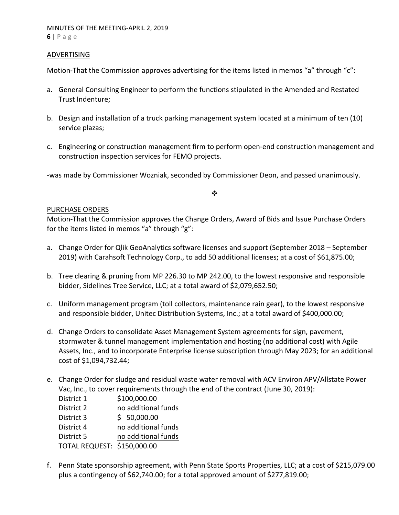### ADVERTISING

Motion-That the Commission approves advertising for the items listed in memos "a" through "c":

- a. General Consulting Engineer to perform the functions stipulated in the Amended and Restated Trust Indenture;
- b. Design and installation of a truck parking management system located at a minimum of ten (10) service plazas;
- c. Engineering or construction management firm to perform open‐end construction management and construction inspection services for FEMO projects.

‐was made by Commissioner Wozniak, seconded by Commissioner Deon, and passed unanimously.

### $\bullet^{\bullet}_{\bullet} \bullet$

### PURCHASE ORDERS

Motion‐That the Commission approves the Change Orders, Award of Bids and Issue Purchase Orders for the items listed in memos "a" through "g":

- a. Change Order for Qlik GeoAnalytics software licenses and support (September 2018 September 2019) with Carahsoft Technology Corp., to add 50 additional licenses; at a cost of \$61,875.00;
- b. Tree clearing & pruning from MP 226.30 to MP 242.00, to the lowest responsive and responsible bidder, Sidelines Tree Service, LLC; at a total award of \$2,079,652.50;
- c. Uniform management program (toll collectors, maintenance rain gear), to the lowest responsive and responsible bidder, Unitec Distribution Systems, Inc.; at a total award of \$400,000.00;
- d. Change Orders to consolidate Asset Management System agreements for sign, pavement, stormwater & tunnel management implementation and hosting (no additional cost) with Agile Assets, Inc., and to incorporate Enterprise license subscription through May 2023; for an additional cost of \$1,094,732.44;
- e. Change Order for sludge and residual waste water removal with ACV Environ APV/Allstate Power Vac, Inc., to cover requirements through the end of the contract (June 30, 2019):

 District 1 \$100,000.00 District 2 mo additional funds District 3 \$ 50,000.00 District 4 no additional funds District 5 mo additional funds

TOTAL REQUEST: \$150,000.00

f. Penn State sponsorship agreement, with Penn State Sports Properties, LLC; at a cost of \$215,079.00 plus a contingency of \$62,740.00; for a total approved amount of \$277,819.00;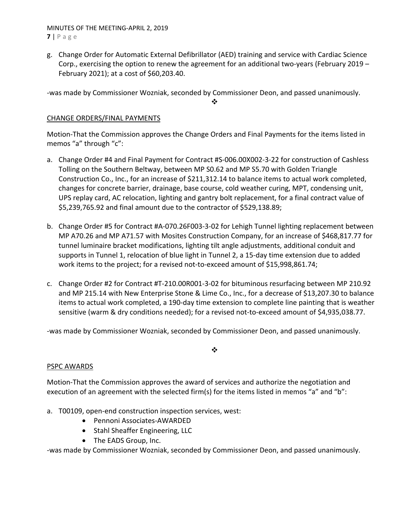MINUTES OF THE MEETING‐APRIL 2, 2019 **7** | Page

g. Change Order for Automatic External Defibrillator (AED) training and service with Cardiac Science Corp., exercising the option to renew the agreement for an additional two‐years (February 2019 – February 2021); at a cost of \$60,203.40.

‐was made by Commissioner Wozniak, seconded by Commissioner Deon, and passed unanimously.

❖

# CHANGE ORDERS/FINAL PAYMENTS

Motion‐That the Commission approves the Change Orders and Final Payments for the items listed in memos "a" through "c":

- a. Change Order #4 and Final Payment for Contract #S‐006.00X002‐3‐22 for construction of Cashless Tolling on the Southern Beltway, between MP S0.62 and MP S5.70 with Golden Triangle Construction Co., Inc., for an increase of \$211,312.14 to balance items to actual work completed, changes for concrete barrier, drainage, base course, cold weather curing, MPT, condensing unit, UPS replay card, AC relocation, lighting and gantry bolt replacement, for a final contract value of \$5,239,765.92 and final amount due to the contractor of \$529,138.89;
- b. Change Order #5 for Contract #A‐070.26F003‐3‐02 for Lehigh Tunnel lighting replacement between MP A70.26 and MP A71.57 with Mosites Construction Company, for an increase of \$468,817.77 for tunnel luminaire bracket modifications, lighting tilt angle adjustments, additional conduit and supports in Tunnel 1, relocation of blue light in Tunnel 2, a 15‐day time extension due to added work items to the project; for a revised not-to-exceed amount of \$15,998,861.74;
- c. Change Order #2 for Contract #T‐210.00R001‐3‐02 for bituminous resurfacing between MP 210.92 and MP 215.14 with New Enterprise Stone & Lime Co., Inc., for a decrease of \$13,207.30 to balance items to actual work completed, a 190‐day time extension to complete line painting that is weather sensitive (warm & dry conditions needed); for a revised not‐to‐exceed amount of \$4,935,038.77.

‐was made by Commissioner Wozniak, seconded by Commissioner Deon, and passed unanimously.

 $\frac{1}{2}$ 

# PSPC AWARDS

Motion‐That the Commission approves the award of services and authorize the negotiation and execution of an agreement with the selected firm(s) for the items listed in memos "a" and "b":

- a. T00109, open‐end construction inspection services, west:
	- Pennoni Associates-AWARDED
	- Stahl Sheaffer Engineering, LLC
	- The EADS Group, Inc.

‐was made by Commissioner Wozniak, seconded by Commissioner Deon, and passed unanimously.